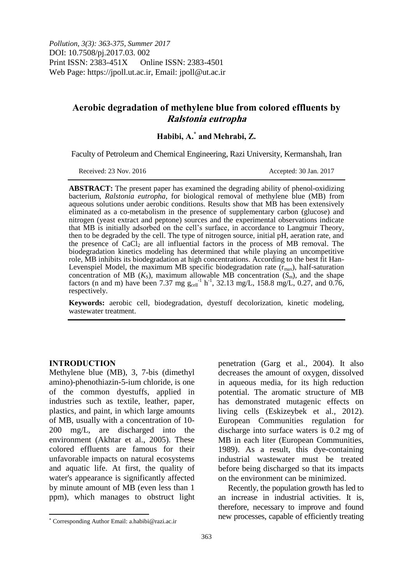# **Aerobic degradation of methylene blue from colored effluents by Ralstonia eutropha**

# **Habibi, A.\* and Mehrabi, Z.**

Faculty of Petroleum and Chemical Engineering, Razi University, Kermanshah, Iran

Received: 23 Nov. 2016 **Accepted: 30 Jan. 2017** 

**ABSTRACT:** The present paper has examined the degrading ability of phenol-oxidizing bacterium, *Ralstonia eutropha,* for biological removal of methylene blue (MB) from aqueous solutions under aerobic conditions. Results show that MB has been extensively eliminated as a co-metabolism in the presence of supplementary carbon (glucose) and nitrogen (yeast extract and peptone) sources and the experimental observations indicate that MB is initially adsorbed on the cell"s surface, in accordance to Langmuir Theory, then to be degraded by the cell. The type of nitrogen source, initial pH, aeration rate, and the presence of  $CaCl<sub>2</sub>$  are all influential factors in the process of MB removal. The biodegradation kinetics modeling has determined that while playing an uncompetitive role, MB inhibits its biodegradation at high concentrations. According to the best fit Han-Levenspiel Model, the maximum MB specific biodegradation rate  $(r_{\text{max}})$ , half-saturation concentration of MB ( $K_S$ ), maximum allowable MB concentration  $(S_m)$ , and the shape factors (n and m) have been 7.37 mg  $g_{cell}^{-1}$  h<sup>-1</sup>, 32.13 mg/L, 158.8 mg/L, 0.27, and 0.76, respectively.

**Keywords:** aerobic cell, biodegradation, dyestuff decolorization, kinetic modeling, wastewater treatment.

#### **INTRODUCTION**

 $\overline{\phantom{a}}$ 

Methylene blue (MB), 3, 7-bis (dimethyl amino)-phenothiazin-5-ium chloride, is one of the common dyestuffs, applied in industries such as textile, leather, paper, plastics, and paint, in which large amounts of MB, usually with a concentration of 10- 200 mg/L, are discharged into the environment (Akhtar et al., 2005). These colored effluents are famous for their unfavorable impacts on natural ecosystems and aquatic life. At first, the quality of water's appearance is significantly affected by minute amount of MB (even less than 1 ppm), which manages to obstruct light penetration (Garg et al., 2004). It also decreases the amount of oxygen, dissolved in aqueous media, for its high reduction potential. The aromatic structure of MB has demonstrated mutagenic effects on living cells (Eskizeybek et al., 2012). European Communities regulation for discharge into surface waters is 0.2 mg of MB in each liter (European Communities, 1989). As a result, this dye-containing industrial wastewater must be treated before being discharged so that its impacts on the environment can be minimized.

Recently, the population growth has led to an increase in industrial activities. It is, therefore, necessary to improve and found new processes, capable of efficiently treating

Corresponding Author Email: a.habibi@razi.ac.ir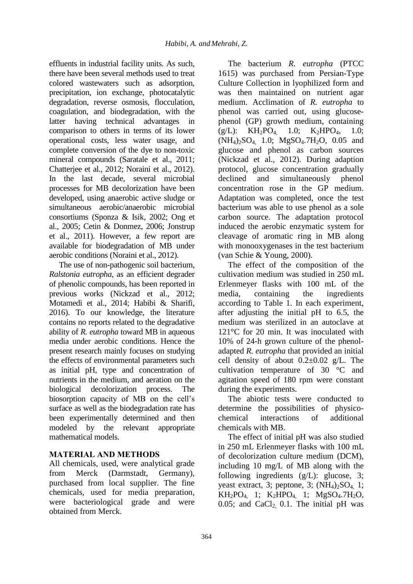effluents in industrial facility units. As such, there have been several methods used to treat colored wastewaters such as adsorption, precipitation, ion exchange, photocatalytic degradation, reverse osmosis, flocculation, coagulation, and biodegradation, with the latter having technical advantages in comparison to others in terms of its lower operational costs, less water usage, and complete conversion of the dye to non-toxic mineral compounds (Saratale et al., 2011; Chatterjee et al., 2012; Noraini et al., 2012). In the last decade, several microbial processes for MB decolorization have been developed, using anaerobic active sludge or simultaneous aerobic/anaerobic microbial consortiums (Sponza & Isik, 2002; Ong et al., 2005; Cetin & Donmez, 2006; Jonstrup et al., 2011). However, a few report are available for biodegradation of MB under aerobic conditions (Noraini et al., 2012).

The use of non-pathogenic soil bacterium, *Ralstonia eutropha,* as an efficient degrader of phenolic compounds, has been reported in previous works (Nickzad et al., 2012; Motamedi et al., 2014; Habibi & Sharifi, 2016). To our knowledge, the literature contains no reports related to the degradative ability of *R. eutropha* toward MB in aqueous media under aerobic conditions. Hence the present research mainly focuses on studying the effects of environmental parameters such as initial pH, type and concentration of nutrients in the medium, and aeration on the biological decolorization process. The biosorption capacity of MB on the cell"s surface as well as the biodegradation rate has been experimentally determined and then modeled by the relevant appropriate mathematical models.

## **MATERIAL AND METHODS**

All chemicals, used, were analytical grade from Merck (Darmstadt, Germany), purchased from local supplier. The fine chemicals, used for media preparation, were bacteriological grade and were obtained from Merck.

The bacterium *R. eutropha* (PTCC 1615) was purchased from Persian-Type Culture Collection in lyophilized form and was then maintained on nutrient agar medium. Acclimation of *R. eutropha* to phenol was carried out, using glucosephenol (GP) growth medium, containing  $(g/L):$  KH<sub>2</sub>PO<sub>4</sub>, 1.0; K<sub>2</sub>HPO<sub>4</sub>, 1.0; (NH<sub>4</sub>)<sub>2</sub>SO<sub>4</sub>, 1.0; MgSO<sub>4</sub>.7H<sub>2</sub>O, 0.05 and glucose and phenol as carbon sources (Nickzad et al., 2012). During adaption protocol, glucose concentration gradually declined and simultaneously phenol concentration rose in the GP medium. Adaptation was completed, once the test bacterium was able to use phenol as a sole carbon source. The adaptation protocol induced the aerobic enzymatic system for cleavage of aromatic ring in MB along with monooxygenases in the test bacterium (van Schie & Young, 2000).

The effect of the composition of the cultivation medium was studied in 250 mL Erlenmeyer flasks with 100 mL of the media, containing the ingredients according to Table 1. In each experiment, after adjusting the initial pH to 6.5, the medium was sterilized in an autoclave at 121°C for 20 min. It was inoculated with 10% of 24-h grown culture of the phenoladapted *R. eutropha* that provided an initial cell density of about  $0.2\pm0.02$  g/L. The cultivation temperature of 30 °C and agitation speed of 180 rpm were constant during the experiments.

The abiotic tests were conducted to determine the possibilities of physicochemical interactions of additional chemicals with MB.

The effect of initial pH was also studied in 250 mL Erlenmeyer flasks with 100 mL of decolorization culture medium (DCM), including 10 mg/L of MB along with the following ingredients  $(g/L)$ : glucose, 3; yeast extract, 3; peptone, 3;  $(NH_4)_{2}SO_4$  1;  $KH_2PO_4$ , 1;  $K_2HPO_4$ , 1;  $MgSO_4.7H_2O$ , 0.05; and  $CaCl<sub>2</sub>$  0.1. The initial pH was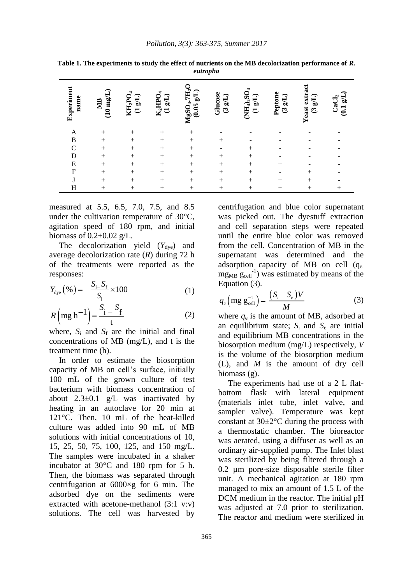| Experiment<br>name | $\widehat{\phantom{a}}$<br>$(10 \text{ mg})$<br><b>NB</b> | $KH_2PO_4$<br>$\overline{\mathrm{g(L)}}$<br>$\overline{\mathbf{C}}$ | $\rm K_2HPO_4$<br>$\overline{\text{c}}$<br>$\overline{\mathbf{C}}$ | ${\rm MgSO_4.7H_2O}$<br>G/B<br>(0.05) | Glucose<br>$(3 \text{ gL})$ | $(NH_4)_2SO_4$<br>$\mathrm{g} \mathrm{L}$<br>$\overline{\mathbf{C}}$ | Peptone<br>$\widetilde{\text{F}}$<br>G | Yeast extract<br>$\widetilde{\text{F}}$<br>G | CaCl <sub>2</sub><br>1.91 |
|--------------------|-----------------------------------------------------------|---------------------------------------------------------------------|--------------------------------------------------------------------|---------------------------------------|-----------------------------|----------------------------------------------------------------------|----------------------------------------|----------------------------------------------|---------------------------|
| A                  | $^{+}$                                                    | $^{+}$                                                              | $^{+}$                                                             | $\, + \,$                             |                             |                                                                      |                                        |                                              |                           |
| $\bf{B}$           | $+$                                                       | $+$                                                                 | $^{+}$                                                             | $^{+}$                                | $^{+}$                      |                                                                      |                                        |                                              |                           |
| $\mathcal{C}$      | $+$                                                       | $^{+}$                                                              | $^{+}$                                                             | $^{+}$                                | ۰                           | $^{+}$                                                               |                                        |                                              |                           |
| D                  | $+$                                                       | $+$                                                                 | $^{+}$                                                             | $^{+}$                                | $+$                         | $+$                                                                  |                                        |                                              |                           |
| E                  | $^{+}$                                                    | $^{+}$                                                              | $^{+}$                                                             | $+$                                   | $^{+}$                      | $^{+}$                                                               | $^{+}$                                 |                                              |                           |
| $\overline{F}$     | $+$                                                       | $+$                                                                 | $+$                                                                | $+$                                   | $+$                         | $+$                                                                  |                                        | $^{+}$                                       |                           |
| J                  | $^{+}$                                                    | $+$                                                                 | $+$                                                                | $^{+}$                                | $+$                         | $+$                                                                  | $^{+}$                                 | $^{+}$                                       |                           |
| Н                  | $+$                                                       | $+$                                                                 | $^{+}$                                                             | $^{+}$                                | $^+$                        | $+$                                                                  | $^{+}$                                 | $^{+}$                                       | $^{+}$                    |

**Table 1. The experiments to study the effect of nutrients on the MB decolorization performance of** *R. eutropha*

measured at 5.5, 6.5, 7.0, 7.5, and 8.5 under the cultivation temperature of 30°C, agitation speed of 180 rpm, and initial biomass of  $0.2\pm0.02$  g/L.

The decolorization yield  $(Y_{\text{dye}})$  and average decolorization rate (*R*) during 72 h of the treatments were reported as the responses:

$$
Y_{\text{dye}}\left(\% \right) = \frac{S_{i-}S_{f}}{S_{i}} \times 100\tag{1}
$$

$$
R\left(\text{mg h}^{-1}\right) = \frac{S_i - S_f}{t} \tag{2}
$$

where,  $S_i$  and  $S_f$  are the initial and final concentrations of MB (mg/L), and t is the treatment time (h).

In order to estimate the biosorption capacity of MB on cell"s surface, initially 100 mL of the grown culture of test bacterium with biomass concentration of about  $2.3\pm0.1$  g/L was inactivated by heating in an autoclave for 20 min at 121°C. Then, 10 mL of the heat-killed culture was added into 90 mL of MB solutions with initial concentrations of 10, 15, 25, 50, 75, 100, 125, and 150 mg/L. The samples were incubated in a shaker incubator at 30°C and 180 rpm for 5 h. Then, the biomass was separated through centrifugation at 6000×g for 6 min. The adsorbed dye on the sediments were extracted with acetone-methanol (3:1 v:v) solutions. The cell was harvested by centrifugation and blue color supernatant was picked out. The dyestuff extraction and cell separation steps were repeated until the entire blue color was removed from the cell. Concentration of MB in the supernatant was determined and the adsorption capacity of MB on cell (qe,  $mg<sub>MB</sub>$   $g<sub>cell</sub><sup>-1</sup>$ ) was estimated by means of the Equation (3).

$$
q_e \left( \text{mg } g_{\text{cell}}^{-1} \right) = \frac{(S_i - S_e)V}{M} \tag{3}
$$

where *q*<sup>e</sup> is the amount of MB, adsorbed at an equilibrium state;  $S_i$  and  $S_e$  are initial and equilibrium MB concentrations in the biosorption medium (mg/L) respectively, *V* is the volume of the biosorption medium (L), and *M* is the amount of dry cell biomass (g).

The experiments had use of a 2 L flatbottom flask with lateral equipment (materials inlet tube, inlet valve, and sampler valve). Temperature was kept constant at  $30\pm2\degree C$  during the process with a thermostatic chamber. The bioreactor was aerated, using a diffuser as well as an ordinary air-supplied pump. The Inlet blast was sterilized by being filtered through a 0.2 µm pore-size disposable sterile filter unit. A mechanical agitation at 180 rpm managed to mix an amount of 1.5 L of the DCM medium in the reactor. The initial pH was adjusted at 7.0 prior to sterilization. The reactor and medium were sterilized in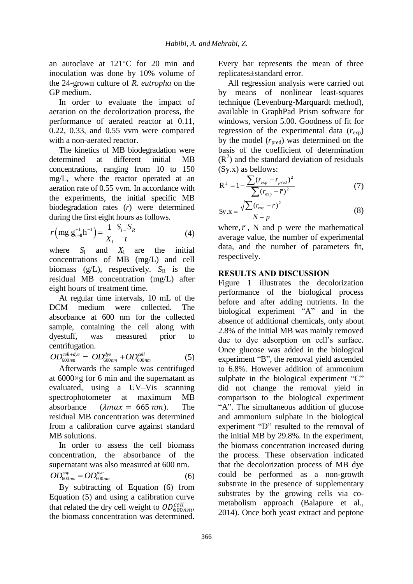an autoclave at 121°C for 20 min and inoculation was done by 10% volume of the 24-grown culture of *R. eutropha* on the GP medium.

In order to evaluate the impact of aeration on the decolorization process, the performance of aerated reactor at 0.11, 0.22, 0.33, and 0.55 vvm were compared with a non-aerated reactor.

The kinetics of MB biodegradation were determined at different initial MB concentrations, ranging from 10 to 150 mg/L, where the reactor operated at an aeration rate of 0.55 vvm. In accordance with the experiments, the initial specific MB biodegradation rates (*r*) were determined

during the first eight hours as follows.  
\n
$$
r\left(\text{mg } g_{\text{cell}}^{-1} \right) = \frac{1}{X_i} \frac{S_{i-} S_R}{t}
$$
\n(4)

where *S*<sup>i</sup> and *X*i are the initial concentrations of MB (mg/L) and cell biomass  $(g/L)$ , respectively.  $S_R$  is the residual MB concentration (mg/L) after eight hours of treatment time.

At regular time intervals, 10 mL of the DCM medium were collected. The absorbance at 600 nm for the collected sample, containing the cell along with dyestuff, was measured prior to centrifugation.

centrifugation.  
\n
$$
OD_{600nm}^{cell+dye} = OD_{600nm}^{dye} + OD_{600nm}^{cell}
$$
 (5)

Afterwards the sample was centrifuged at 6000×g for 6 min and the supernatant as evaluated, using a UV–Vis scanning spectrophotometer at maximum MB absorbance  $(\lambda max = 665 \text{ nm})$  The residual MB concentration was determined from a calibration curve against standard MB solutions.

In order to assess the cell biomass concentration, the absorbance of the supernatant was also measured at 600 nm.

$$
OD_{600nm}^{sup} = OD_{600nm}^{dye}
$$
 (6)

By subtracting of Equation (6) from Equation (5) and using a calibration curve that related the dry cell weight to  $OD_{600nm}^{cell}$ the biomass concentration was determined.

Every bar represents the mean of three replicates±standard error.

All regression analysis were carried out by means of nonlinear least-squares technique (Levenburg-Marquardt method), available in GraphPad Prism software for windows, version 5.00. Goodness of fit for regression of the experimental data  $(r_{\rm exp})$ by the model  $(r_{\text{pred}})$  was determined on the basis of the coefficient of determination  $(R<sup>2</sup>)$  and the standard deviation of residuals (Sy.x) as bellows:

$$
R^{2} = 1 - \frac{\sum (r_{exp} - r_{pred})^{2}}{\sum (r_{exp} - \bar{r})^{2}}
$$
(7)

$$
Sy.x = \frac{\sqrt{\sum (r_{\exp} - \bar{r})^2}}{N - p}
$$
 (8)

where,  $\bar{r}$ , N and p were the mathematical average value, the number of experimental data, and the number of parameters fit, respectively.

### **RESULTS AND DISCUSSION**

Figure 1 illustrates the decolorization performance of the biological process before and after adding nutrients. In the biological experiment "A" and in the absence of additional chemicals, only about 2.8% of the initial MB was mainly removed due to dye adsorption on cell"s surface. Once glucose was added in the biological experiment "B", the removal yield ascended to 6.8%. However addition of ammonium sulphate in the biological experiment "C" did not change the removal yield in comparison to the biological experiment "A". The simultaneous addition of glucose and ammonium sulphate in the biological experiment "D" resulted to the removal of the initial MB by 29.8%. In the experiment, the biomass concentration increased during the process. These observation indicated that the decolorization process of MB dye could be performed as a non-growth substrate in the presence of supplementary substrates by the growing cells via cometabolism approach (Balapure et al., 2014). Once both yeast extract and peptone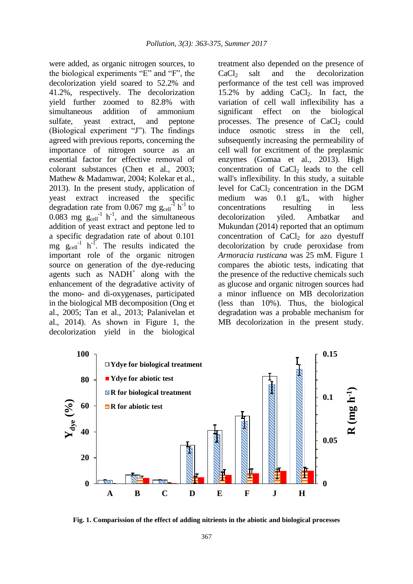were added, as organic nitrogen sources, to the biological experiments "E" and "F", the decolorization yield soared to 52.2% and 41.2%, respectively. The decolorization yield further zoomed to 82.8% with simultaneous addition of ammonium sulfate, yeast extract, and peptone (Biological experiment "J"). The findings agreed with previous reports, concerning the importance of nitrogen source as an essential factor for effective removal of colorant substances (Chen et al., 2003; Mathew & Madamwar, 2004; Kolekar et al., 2013). In the present study, application of yeast extract increased the specific degradation rate from 0.067 mg  $g_{cell}^{-1}$  h<sup>-1</sup> to 0.083 mg  $g_{cell}^{-1}$  h<sup>-1</sup>, and the simultaneous addition of yeast extract and peptone led to a specific degradation rate of about 0.101  $mg$   $g_{cell}$ <sup>1</sup> h<sup>-1</sup>. The results indicated the important role of the organic nitrogen source on generation of the dye-reducing agents such as  $NADH<sup>+</sup>$  along with the enhancement of the degradative activity of the mono- and di-oxygenases, participated in the biological MB decomposition (Ong et al., 2005; Tan et al., 2013; Palanivelan et al., 2014). As shown in Figure 1, the decolorization yield in the biological treatment also depended on the presence of  $CaCl<sub>2</sub>$  salt and the decolorization performance of the test cell was improved 15.2% by adding  $CaCl<sub>2</sub>$ . In fact, the variation of cell wall inflexibility has a significant effect on the biological processes. The presence of  $CaCl<sub>2</sub>$  could induce osmotic stress in the cell, subsequently increasing the permeability of cell wall for excritment of the preplasmic enzymes (Gomaa et al., 2013). High concentration of  $CaCl<sub>2</sub>$  leads to the cell wall's inflexibility. In this study, a suitable level for  $CaCl<sub>2</sub>$  concentration in the DGM medium was 0.1 g/L, with higher concentrations resulting in less decolorization yiled. Ambatkar and Mukundan (2014) reported that an optimum concentration of  $CaCl<sub>2</sub>$  for azo dyestuff decolorization by crude peroxidase from *Armoracia rusticana* was 25 mM. Figure 1 compares the abiotic tests, indicating that the presence of the reductive chemicals such as glucose and organic nitrogen sources had a minor influence on MB decolorization (less than 10%). Thus, the biological degradation was a probable mechanism for MB decolorization in the present study.



**Fig. 1. Comparission of the effect of adding nitrients in the abiotic and biological processes**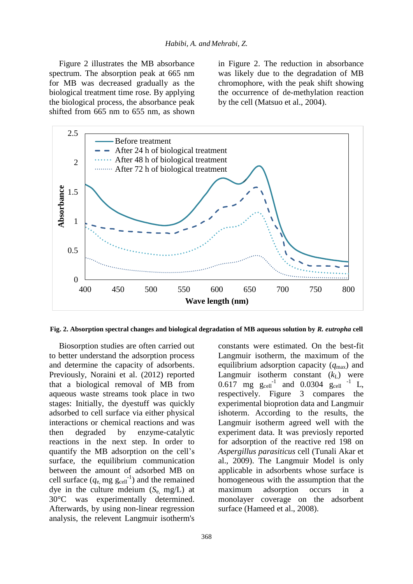Figure 2 illustrates the MB absorbance spectrum. The absorption peak at 665 nm for MB was decreased gradually as the biological treatment time rose. By applying the biological process, the absorbance peak shifted from 665 nm to 655 nm, as shown

in Figure 2. The reduction in absorbance was likely due to the degradation of MB chromophore, with the peak shift showing the occurrence of de-methylation reaction by the cell (Matsuo et al., 2004).



**Fig. 2. Absorption spectral changes and biological degradation of MB aqueous solution by** *R. eutropha* **cell**

Biosorption studies are often carried out to better understand the adsorption process and determine the capacity of adsorbents. Previously, Noraini et al. (2012) reported that a biological removal of MB from aqueous waste streams took place in two stages: Initially, the dyestuff was quickly adsorbed to cell surface via either physical interactions or chemical reactions and was then degraded by enzyme-catalytic reactions in the next step. In order to quantify the MB adsorption on the cell"s surface, the equilibrium communication between the amount of adsorbed MB on cell surface  $(q_e, mg g_{cell}^{-1})$  and the remained dye in the culture mdeium  $(S_e \text{ mg/L})$  at 30°C was experimentally determined. Afterwards, by using non-linear regression analysis, the relevent Langmuir isotherm's

constants were estimated. On the best-fit Langmuir isotherm, the maximum of the equilibrium adsorption capacity  $(q_{\text{max}})$  and Langmuir isotherm constant  $(k<sub>L</sub>)$  were  $0.617$  mg  $g_{cell}^{-1}$  and  $0.0304$   $g_{cell}^{-1}$  L, respectively. Figure 3 compares the experimental bioprotion data and Langmuir ishoterm. According to the results, the Langmuir isotherm agreed well with the experiment data. It was previosly reported for adsorption of the reactive red 198 on *Aspergillus parasiticus* cell (Tunali Akar et al., 2009). The Langmuir Model is only applicable in adsorbents whose surface is homogeneous with the assumption that the maximum adsorption occurs in a monolayer coverage on the adsorbent surface (Hameed et al., 2008).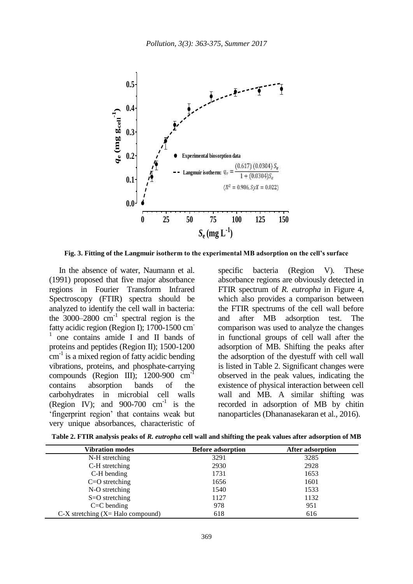

**Fig. 3. Fitting of the Langmuir isotherm to the experimental MB adsorption on the cell's surface**

In the absence of water, Naumann et al. (1991) proposed that five major absorbance regions in Fourier Transform Infrared Spectroscopy (FTIR) spectra should be analyzed to identify the cell wall in bacteria: the  $3000-2800$  cm<sup>-1</sup> spectral region is the fatty acidic region (Region I); 1700-1500 cm-1 one contains amide I and II bands of proteins and peptides (Region II); 1500-1200 cm<sup>-1</sup> is a mixed region of fatty acidic bending vibrations, proteins, and phosphate-carrying compounds (Region III);  $1200-900$  cm<sup>-1</sup> contains absorption bands of the carbohydrates in microbial cell walls (Region IV); and  $900-700$  cm<sup>-1</sup> is the "fingerprint region" that contains weak but very unique absorbances, characteristic of

specific bacteria (Region V). These absorbance regions are obviously detected in FTIR spectrum of *R. eutropha* in Figure 4, which also provides a comparison between the FTIR spectrums of the cell wall before and after MB adsorption test. The comparison was used to analyze the changes in functional groups of cell wall after the adsorption of MB. Shifting the peaks after the adsorption of the dyestuff with cell wall is listed in Table 2. Significant changes were observed in the peak values, indicating the existence of physical interaction between cell wall and MB. A similar shifting was recorded in adsorption of MB by chitin nanoparticles (Dhananasekaran et al., 2016).

| <b>Vibration modes</b>                        | <b>Before adsorption</b> | After adsorption |  |  |  |
|-----------------------------------------------|--------------------------|------------------|--|--|--|
| N-H stretching                                | 3291                     | 3285             |  |  |  |
| C-H stretching                                | 2930                     | 2928             |  |  |  |
| C-H bending                                   | 1731                     | 1653             |  |  |  |
| $C=O$ stretching                              | 1656                     | 1601             |  |  |  |
| N-O stretching                                | 1540                     | 1533             |  |  |  |
| $S=O$ stretching                              | 1127                     | 1132             |  |  |  |
| $C = C$ bending                               | 978                      | 951              |  |  |  |
| $C-X$ stretching $(X = \text{Halo compound})$ | 618                      | 616              |  |  |  |

**Table 2. FTIR analysis peaks of** *R. eutropha* **cell wall and shifting the peak values after adsorption of MB**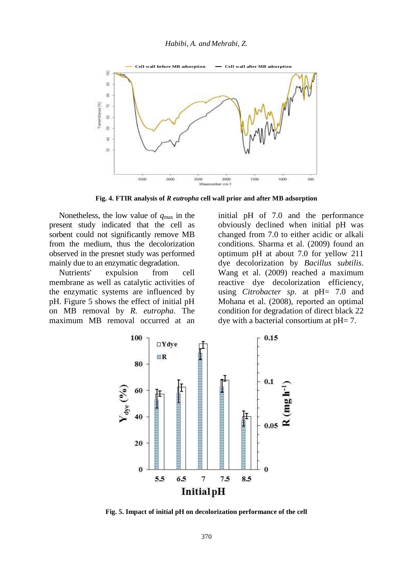

**Fig. 4. FTIR analysis of** *R eutropha* **cell wall prior and after MB adsorption** 

Nonetheless, the low value of *q*max in the present study indicated that the cell as sorbent could not significantly remove MB from the medium, thus the decolorization observed in the presnet study was performed mainly due to an enzymatic degradation.

Nutrients' expulsion from cell membrane as well as catalytic activities of the enzymatic systems are influenced by pH. Figure 5 shows the effect of initial pH on MB removal by *R. eutropha*. The maximum MB removal occurred at an initial pH of 7.0 and the performance obviously declined when initial pH was changed from 7.0 to either acidic or alkali conditions. Sharma et al. (2009) found an optimum pH at about 7.0 for yellow 211 dye decolorization by *Bacillus subtilis*. Wang et al. (2009) reached a maximum reactive dye decolorization efficiency, using *Citrobacter sp*. at pH= 7.0 and Mohana et al. (2008), reported an optimal condition for degradation of direct black 22 dye with a bacterial consortium at pH= 7.



**Fig. 5. Impact of initial pH on decolorization performance of the cell**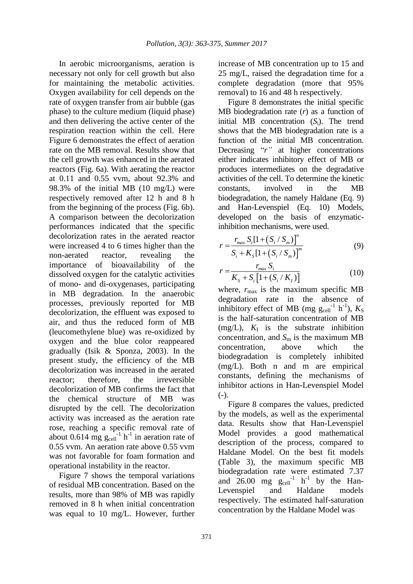In aerobic microorganisms, aeration is necessary not only for cell growth but also for maintaining the metabolic activities. Oxygen availability for cell depends on the rate of oxygen transfer from air bubble (gas phase) to the culture medium (liquid phase) and then delivering the active center of the respiration reaction within the cell. Here Figure 6 demonstrates the effect of aeration rate on the MB removal. Results show that the cell growth was enhanced in the aerated reactors (Fig. 6a). With aerating the reactor at 0.11 and 0.55 vvm, about 92.3% and 98.3% of the initial MB (10 mg/L) were respectively removed after 12 h and 8 h from the beginning of the process (Fig. 6b). A comparison between the decolorization performances indicated that the specific decolorization rates in the aerated reactor were increased 4 to 6 times higher than the non-aerated reactor, revealing the importance of bioavailability of the dissolved oxygen for the catalytic activities of mono- and di-oxygenases, participating in MB degradation. In the anaerobic processes, previously reported for MB decolorization, the effluent was exposed to air, and thus the reduced form of MB (leucomethylene blue) was re-oxidized by oxygen and the blue color reappeared gradually (Isik & Sponza, 2003). In the present study, the efficiency of the MB decolorization was increased in the aerated reactor; therefore, the irreversible decolorization of MB confirms the fact that the chemical structure of MB was disrupted by the cell. The decolorization activity was increased as the aeration rate rose, reaching a specific removal rate of about 0.614 mg  $g_{cell}^{-1}$  h<sup>-1</sup> in aeration rate of 0.55 vvm. An aeration rate above 0.55 vvm was not favorable for foam formation and operational instability in the reactor.

Figure 7 shows the temporal variations of residual MB concentration. Based on the results, more than 98% of MB was rapidly removed in 8 h when initial concentration was equal to 10 mg/L. However, further increase of MB concentration up to 15 and 25 mg/L, raised the degradation time for a complete degradation (more that 95% removal) to 16 and 48 h respectively.

Figure 8 demonstrates the initial specific MB biodegradation rate (*r*) as a function of initial MB concentration (*S*i). The trend shows that the MB biodegradation rate is a function of the initial MB concentration. Decreasing "*r*" at higher concentrations either indicates inhibitory effect of MB or produces intermediates on the degradative activities of the cell. To determine the kinetic constants, involved in the MB biodegradation, the namely Haldane (Eq. 9) and Han-Levenspiel (Eq. 10) Models, developed on the basis of enzymaticinhibition mechanisms, were used.

$$
r = \frac{r_{max} S_i [1 + (S_i / S_m)]^n}{S_i + K_s [1 + (S_i / S_m)]^m}
$$
(9)

$$
r = \frac{r_{max} S_i}{K_s + S_i \left[1 + (S_i / K_I)\right]}
$$
(10)

where,  $r_{\text{max}}$  is the maximum specific MB degradation rate in the absence of inhibitory effect of MB (mg  $g_{cell}^{-1}$  h<sup>-1</sup>),  $K_S$ is the half-saturation concentration of MB  $(mg/L)$ ,  $K<sub>I</sub>$  is the substrate inhibition concentration, and  $S_m$  is the maximum MB concentration, above which the biodegradation is completely inhibited (mg/L). Both n and m are empirical constants, defining the mechanisms of inhibitor actions in Han-Levenspiel Model  $(-)$ .

Figure 8 compares the values, predicted by the models, as well as the experimental data. Results show that Han-Levenspiel Model provides a good mathematical description of the process, compared to Haldane Model. On the best fit models (Table 3), the maximum specific MB biodegradation rate were estimated 7.37 and  $26.00$  mg  $g_{cell}^{-1}$  h<sup>-1</sup> by the Han-Levenspiel and Haldane models respectively. The estimated half-saturation concentration by the Haldane Model was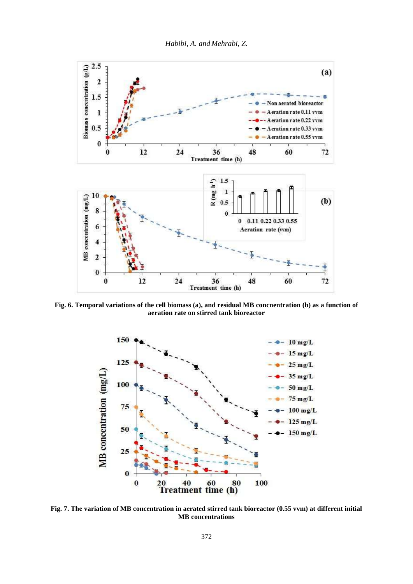

**Fig. 6. Temporal variations of the cell biomass (a), and residual MB concnentration (b) as a function of aeration rate on stirred tank bioreactor**



**Fig. 7. The variation of MB concentration in aerated stirred tank bioreactor (0.55 vvm) at different initial MB concentrations**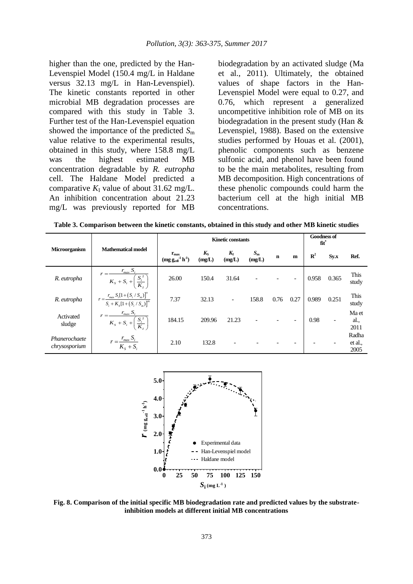higher than the one, predicted by the Han-Levenspiel Model (150.4 mg/L in Haldane versus 32.13 mg/L in Han-Levenspiel). The kinetic constants reported in other microbial MB degradation processes are compared with this study in Table 3. Further test of the Han-Levenspiel equation showed the importance of the predicted *S*<sup>m</sup> value relative to the experimental results, obtained in this study, where 158.8 mg/L was the highest estimated MB concentration degradable by *R. eutropha*  cell. The Haldane Model predicted a comparative  $K_I$  value of about 31.62 mg/L. An inhibition concentration about 21.23 mg/L was previously reported for MB

biodegradation by an activated sludge (Ma et al., 2011). Ultimately, the obtained values of shape factors in the Han-Levenspiel Model were equal to 0.27, and 0.76, which represent a generalized uncompetitive inhibition role of MB on its biodegradation in the present study (Han & Levenspiel, 1988). Based on the extensive studies performed by Houas et al. (2001), phenolic components such as benzene sulfonic acid, and phenol have been found to be the main metabolites, resulting from MB decomposition. High concentrations of these phenolic compounds could harm the bacterium cell at the high initial MB concentrations.

**Table 3. Comparison between the kinetic constants, obtained in this study and other MB kinetic studies**

|                                |                                                                             | <b>Kinetic constants</b>                                                          |                       |                   |                       |             |      | <b>Goodness of</b><br>fit* |                          |                          |
|--------------------------------|-----------------------------------------------------------------------------|-----------------------------------------------------------------------------------|-----------------------|-------------------|-----------------------|-------------|------|----------------------------|--------------------------|--------------------------|
| <b>Microorganism</b>           | <b>Mathematical model</b>                                                   | $r_{\rm max}$<br>$(\mathbf{mg}\ \mathbf{g}_{cell}^{-1}\ \mathbf{h}^{ \text{-}1})$ | $K_{\rm S}$<br>(mg/L) | $K_{I}$<br>(mg/L) | $S_{\rm m}$<br>(mg/L) | $\mathbf n$ | m    | $\mathbb{R}^2$             | Sy.x                     | Ref.                     |
| R. eutropha                    | $r_{max} S_i$<br>$=\frac{1}{K_s+S_i+\left(\frac{S_i^2}{K_s}\right)}$        | 26.00                                                                             | 150.4                 | 31.64             |                       |             |      | 0.958                      | 0.365                    | This<br>study            |
| R. eutropha                    | $r = \frac{r_{max} S_i [1 + (S_i / S_m)]^n}{S_i + K_s [1 + (S_i / S_m)]^m}$ | 7.37                                                                              | 32.13                 | $\overline{a}$    | 158.8                 | 0.76        | 0.27 | 0.989                      | 0.251                    | This<br>study            |
| Activated<br>sludge            | $r = \frac{r_{max} S_i}{K_s + S_i + \left(\frac{S_i^2}{K_t}\right)}$        | 184.15                                                                            | 209.96                | 21.23             |                       |             |      | 0.98                       | $\overline{\phantom{a}}$ | Ma et<br>al.,<br>2011    |
| Phanerochaete<br>chrysosporium | $r = \frac{r_{max} S_i}{K_s + S_i}$                                         | 2.10                                                                              | 132.8                 |                   |                       |             |      |                            | -                        | Radha<br>et al.,<br>2005 |



**Fig. 8. Comparison of the initial specific MB biodegradation rate and predicted values by the substrateinhibition models at different initial MB concentrations**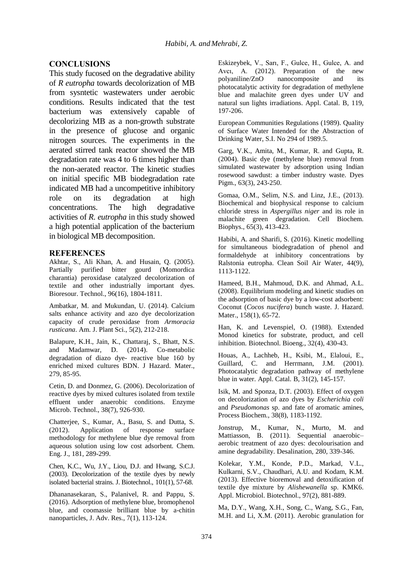### **CONCLUSIONS**

This study fucosed on the degradative ability of *R eutropha* towards decolorization of MB from sysntetic wastewaters under aerobic conditions. Results indicated that the test bacterium was extensively capable of decolorizing MB as a non-growth substrate in the presence of glucose and organic nitrogen sources. The experiments in the aerated stirred tank reactor showed the MB degradation rate was 4 to 6 times higher than the non-aerated reactor. The kinetic studies on initial specific MB biodegradation rate indicated MB had a uncompetitive inhibitory role on its degradation at high concentrations. The high degradative activities of *R. eutropha* in this study showed a high potential application of the bacterium in biological MB decomposition.

#### **REFERENCES**

Akhtar, S., Ali Khan, A. and Husain, Q. (2005). Partially purified bitter gourd (Momordica charantia) peroxidase catalyzed decolorization of textile and other industrially important dyes. Bioresour. Technol., 96(16), 1804-1811.

Ambatkar, M. and Mukundan, U. (2014). Calcium salts enhance activity and azo dye decolorization capacity of crude peroxidase from *Armoracia rusticana*. Am. J. Plant Sci., 5(2), 212-218.

Balapure, K.H., Jain, K., Chattaraj, S., Bhatt, N.S. and Madamwar, D. (2014). Co-metabolic degradation of diazo dye- reactive blue 160 by enriched mixed cultures BDN. J Hazard. Mater., 279, 85-95.

Cetin, D. and Donmez, G. (2006). Decolorization of reactive dyes by mixed cultures isolated from textile effluent under anaerobic conditions. Enzyme Microb. Technol., 38(7), 926-930.

Chatterjee, S., Kumar, A., Basu, S. and Dutta, S. (2012). Application of response surface methodology for methylene blue dye removal from aqueous solution using low cost adsorbent*.* Chem. Eng. J., 181, 289-299.

Chen, K.C., Wu, J.Y., Liou, D.J. and Hwang, S.C.J. (2003). Decolorization of the textile dyes by newly isolated bacterial strains. J. Biotechnol., 101(1), 57-68.

Dhananasekaran, S., Palanivel, R. and Pappu, S. (2016). Adsorption of methylene blue, bromophenol blue, and coomassie brilliant blue by a-chitin nanoparticles, J. Adv. Res., 7(1), 113-124.

Eskizeybek, V., Sarı, F., Gulce, H., Gulce, A. and Avcı, A. (2012). Preparation of the new polyaniline/ZnO nanocomposite and its photocatalytic activity for degradation of methylene blue and malachite green dyes under UV and natural sun lights irradiations. Appl. Catal. B, 119, 197-206.

European Communities Regulations (1989). Quality of Surface Water Intended for the Abstraction of Drinking Water, S.I. No 294 of 1989.5.

Garg, V.K., Amita, M., Kumar, R. and Gupta, R. (2004). Basic dye (methylene blue) removal from simulated wastewater by adsorption using Indian rosewood sawdust: a timber industry waste. Dyes Pigm., 63(3), 243-250.

Gomaa, O.M., Selim, N.S. and Linz, J.E., (2013). Biochemical and biophysical response to calcium chloride stress in *Aspergillus niger* and its role in malachite green degradation. Cell Biochem. Biophys., 65(3), 413-423.

Habibi, A. and Sharifi, S. (2016). Kinetic modelling for simultaneous biodegradation of phenol and formaldehyde at inhibitory concentrations by Ralstonia eutropha. Clean Soil Air Water, 44(9), 1113-1122.

Hameed, B.H., Mahmoud, D.K. and Ahmad, A.L. (2008). Equilibrium modeling and kinetic studies on the adsorption of basic dye by a low-cost adsorbent: Coconut (*Cocos nucifera*) bunch waste. J. Hazard. Mater., 158(1), 65-72.

Han, K. and Levenspiel, O. (1988). Extended Monod kinetics for substrate, product, and cell inhibition. Biotechnol. Bioeng., 32(4), 430-43.

Houas, A., Lachheb, H., Ksibi, M., Elaloui, E., Guillard, C. and Herrmann, J.M. (2001). Photocatalytic degradation pathway of methylene blue in water. Appl. Catal. B, 31(2), 145-157.

Isik, M. and Sponza, D.T. (2003). Effect of oxygen on decolorization of azo dyes by *Escherichia coli* and *Pseudomonas* sp. and fate of aromatic amines, Process Biochem., 38(8), 1183-1192.

Jonstrup, M., Kumar, N., Murto, M. and Mattiasson, B. (2011). Sequential anaerobic– aerobic treatment of azo dyes: decolourisation and amine degradability. Desalination, 280, 339-346.

Kolekar, Y.M., Konde, P.D., Markad, V.L., Kulkarni, S.V., Chaudhari, A.U. and Kodam, K.M. (2013). Effective bioremoval and detoxification of textile dye mixture by *Alishewanella* sp. KMK6. Appl. Microbiol. Biotechnol., 97(2), 881-889.

Ma, D.Y., Wang, X.H., Song, C., Wang, S.G., Fan, M.H. and Li, X.M. (2011). Aerobic granulation for